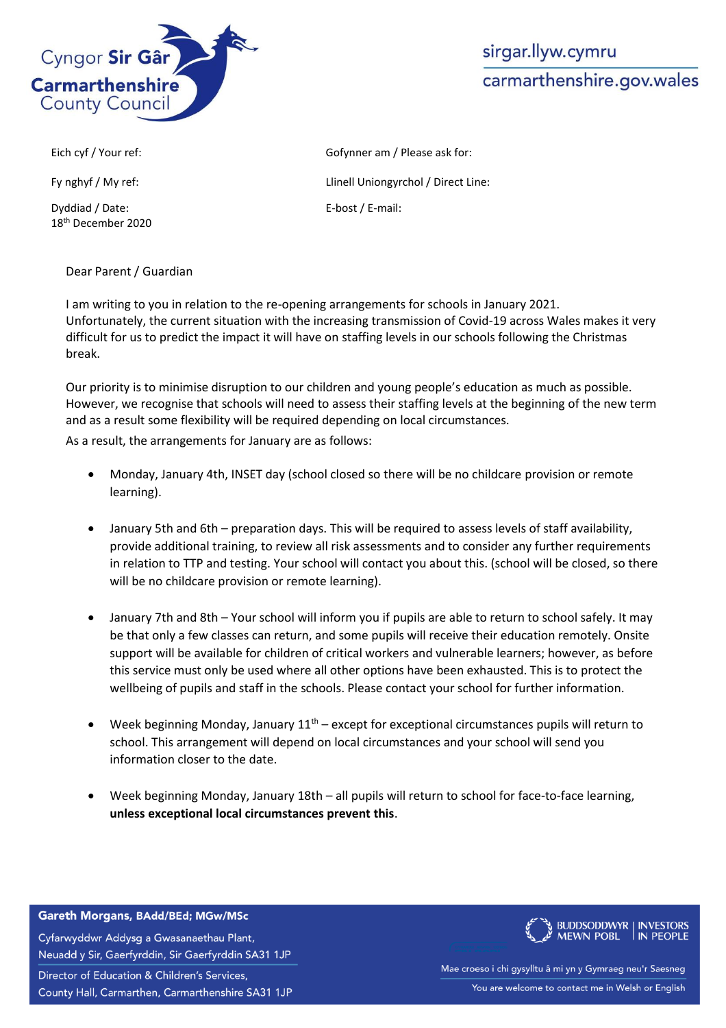

## sirgar.llyw.cymru carmarthenshire.gov.wales

Dyddiad / Date: 18th December 2020

Dear Parent / Guardian

Eich cyf / Your ref: Gofynner am / Please ask for: Fy nghyf / My ref:  $L$ inell Uniongyrchol / Direct Line: E-bost / E-mail:

I am writing to you in relation to the re-opening arrangements for schools in January 2021. Unfortunately, the current situation with the increasing transmission of Covid-19 across Wales makes it very difficult for us to predict the impact it will have on staffing levels in our schools following the Christmas break.

Our priority is to minimise disruption to our children and young people's education as much as possible. However, we recognise that schools will need to assess their staffing levels at the beginning of the new term and as a result some flexibility will be required depending on local circumstances.

As a result, the arrangements for January are as follows:

- Monday, January 4th, INSET day (school closed so there will be no childcare provision or remote learning).
- January 5th and 6th preparation days. This will be required to assess levels of staff availability, provide additional training, to review all risk assessments and to consider any further requirements in relation to TTP and testing. Your school will contact you about this. (school will be closed, so there will be no childcare provision or remote learning).
- January 7th and 8th Your school will inform you if pupils are able to return to school safely. It may be that only a few classes can return, and some pupils will receive their education remotely. Onsite support will be available for children of critical workers and vulnerable learners; however, as before this service must only be used where all other options have been exhausted. This is to protect the wellbeing of pupils and staff in the schools. Please contact your school for further information.
- Week beginning Monday, January  $11<sup>th</sup>$  except for exceptional circumstances pupils will return to school. This arrangement will depend on local circumstances and your school will send you information closer to the date.
- Week beginning Monday, January 18th all pupils will return to school for face-to-face learning, **unless exceptional local circumstances prevent this**.

Gareth Morgans, BAdd/BEd; MGw/MSc

Cyfarwyddwr Addysg a Gwasanaethau Plant, Neuadd y Sir, Gaerfyrddin, Sir Gaerfyrddin SA31 1JP Director of Education & Children's Services, County Hall, Carmarthen, Carmarthenshire SA31 1JP



Mae croeso i chi gysylltu â mi yn y Gymraeg neu'r Saesneg You are welcome to contact me in Welsh or English